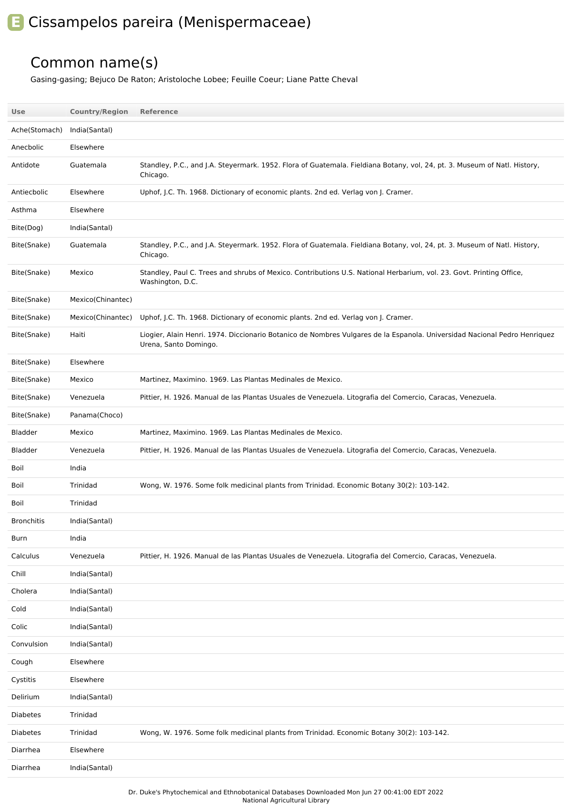## **E** Cissampelos pareira (Menispermaceae)

## Common name(s)

Gasing-gasing; Bejuco De Raton; Aristoloche Lobee; Feuille Coeur; Liane Patte Cheval

| Use               | <b>Country/Region</b> | Reference                                                                                                                                          |
|-------------------|-----------------------|----------------------------------------------------------------------------------------------------------------------------------------------------|
| Ache(Stomach)     | India(Santal)         |                                                                                                                                                    |
| Anecbolic         | Elsewhere             |                                                                                                                                                    |
| Antidote          | Guatemala             | Standley, P.C., and J.A. Steyermark. 1952. Flora of Guatemala. Fieldiana Botany, vol, 24, pt. 3. Museum of Natl. History,<br>Chicago.              |
| Antiecbolic       | Elsewhere             | Uphof, J.C. Th. 1968. Dictionary of economic plants. 2nd ed. Verlag von J. Cramer.                                                                 |
| Asthma            | Elsewhere             |                                                                                                                                                    |
| Bite(Dog)         | India(Santal)         |                                                                                                                                                    |
| Bite(Snake)       | Guatemala             | Standley, P.C., and J.A. Steyermark. 1952. Flora of Guatemala. Fieldiana Botany, vol, 24, pt. 3. Museum of Natl. History,<br>Chicago.              |
| Bite(Snake)       | Mexico                | Standley, Paul C. Trees and shrubs of Mexico. Contributions U.S. National Herbarium, vol. 23. Govt. Printing Office,<br>Washington, D.C.           |
| Bite(Snake)       | Mexico(Chinantec)     |                                                                                                                                                    |
| Bite(Snake)       | Mexico(Chinantec)     | Uphof, J.C. Th. 1968. Dictionary of economic plants. 2nd ed. Verlag von J. Cramer.                                                                 |
| Bite(Snake)       | Haiti                 | Liogier, Alain Henri. 1974. Diccionario Botanico de Nombres Vulgares de la Espanola. Universidad Nacional Pedro Henriquez<br>Urena, Santo Domingo. |
| Bite(Snake)       | Elsewhere             |                                                                                                                                                    |
| Bite(Snake)       | Mexico                | Martinez, Maximino. 1969. Las Plantas Medinales de Mexico.                                                                                         |
| Bite(Snake)       | Venezuela             | Pittier, H. 1926. Manual de las Plantas Usuales de Venezuela. Litografia del Comercio, Caracas, Venezuela.                                         |
| Bite(Snake)       | Panama(Choco)         |                                                                                                                                                    |
| Bladder           | Mexico                | Martinez, Maximino. 1969. Las Plantas Medinales de Mexico.                                                                                         |
| Bladder           | Venezuela             | Pittier, H. 1926. Manual de las Plantas Usuales de Venezuela. Litografia del Comercio, Caracas, Venezuela.                                         |
| Boil              | India                 |                                                                                                                                                    |
| Boil              | Trinidad              | Wong, W. 1976. Some folk medicinal plants from Trinidad. Economic Botany 30(2): 103-142.                                                           |
| Boil              | Trinidad              |                                                                                                                                                    |
| <b>Bronchitis</b> | India(Santal)         |                                                                                                                                                    |
| Burn              | India                 |                                                                                                                                                    |
| Calculus          | Venezuela             | Pittier, H. 1926. Manual de las Plantas Usuales de Venezuela. Litografia del Comercio, Caracas, Venezuela.                                         |
| Chill             | India(Santal)         |                                                                                                                                                    |
| Cholera           | India(Santal)         |                                                                                                                                                    |
| Cold              | India(Santal)         |                                                                                                                                                    |
| Colic             | India(Santal)         |                                                                                                                                                    |
| Convulsion        | India(Santal)         |                                                                                                                                                    |
| Cough             | Elsewhere             |                                                                                                                                                    |
| Cystitis          | Elsewhere             |                                                                                                                                                    |
| Delirium          | India(Santal)         |                                                                                                                                                    |
| <b>Diabetes</b>   | Trinidad              |                                                                                                                                                    |
| <b>Diabetes</b>   | Trinidad              | Wong, W. 1976. Some folk medicinal plants from Trinidad. Economic Botany 30(2): 103-142.                                                           |
| Diarrhea          | Elsewhere             |                                                                                                                                                    |
| Diarrhea          | India(Santal)         |                                                                                                                                                    |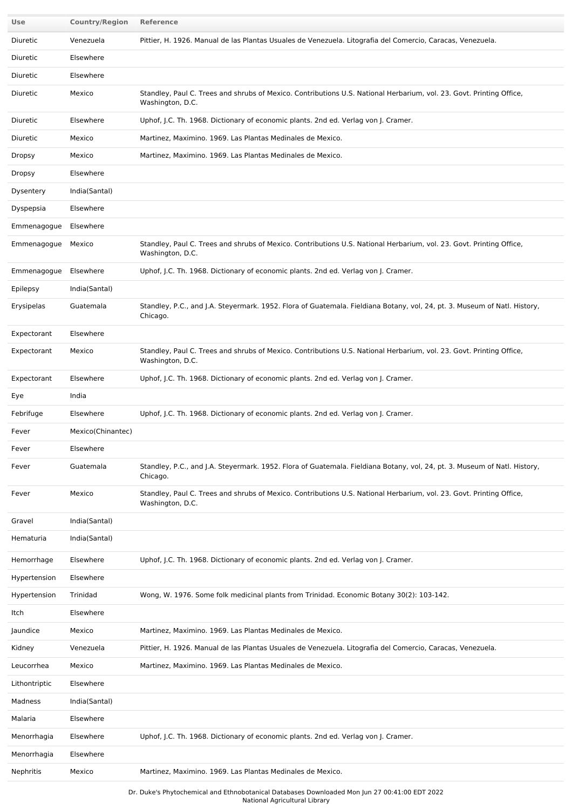| Use                   | <b>Country/Region</b> | Reference                                                                                                                                |
|-----------------------|-----------------------|------------------------------------------------------------------------------------------------------------------------------------------|
| Diuretic              | Venezuela             | Pittier, H. 1926. Manual de las Plantas Usuales de Venezuela. Litografia del Comercio, Caracas, Venezuela.                               |
| Diuretic              | Elsewhere             |                                                                                                                                          |
| Diuretic              | Elsewhere             |                                                                                                                                          |
| Diuretic              | Mexico                | Standley, Paul C. Trees and shrubs of Mexico. Contributions U.S. National Herbarium, vol. 23. Govt. Printing Office,<br>Washington, D.C. |
| Diuretic              | Elsewhere             | Uphof, J.C. Th. 1968. Dictionary of economic plants. 2nd ed. Verlag von J. Cramer.                                                       |
| Diuretic              | Mexico                | Martinez, Maximino. 1969. Las Plantas Medinales de Mexico.                                                                               |
| <b>Dropsy</b>         | Mexico                | Martinez, Maximino. 1969. Las Plantas Medinales de Mexico.                                                                               |
| <b>Dropsy</b>         | Elsewhere             |                                                                                                                                          |
| Dysentery             | India(Santal)         |                                                                                                                                          |
| Dyspepsia             | Elsewhere             |                                                                                                                                          |
| Emmenagogue           | Elsewhere             |                                                                                                                                          |
| Emmenagogue           | Mexico                | Standley, Paul C. Trees and shrubs of Mexico. Contributions U.S. National Herbarium, vol. 23. Govt. Printing Office,<br>Washington, D.C. |
| Emmenagogue Elsewhere |                       | Uphof, J.C. Th. 1968. Dictionary of economic plants. 2nd ed. Verlag von J. Cramer.                                                       |
| Epilepsy              | India(Santal)         |                                                                                                                                          |
| Erysipelas            | Guatemala             | Standley, P.C., and J.A. Steyermark. 1952. Flora of Guatemala. Fieldiana Botany, vol, 24, pt. 3. Museum of Natl. History,<br>Chicago.    |
| Expectorant           | Elsewhere             |                                                                                                                                          |
| Expectorant           | Mexico                | Standley, Paul C. Trees and shrubs of Mexico. Contributions U.S. National Herbarium, vol. 23. Govt. Printing Office,<br>Washington, D.C. |
| Expectorant           | Elsewhere             | Uphof, J.C. Th. 1968. Dictionary of economic plants. 2nd ed. Verlag von J. Cramer.                                                       |
| Eye                   | India                 |                                                                                                                                          |
| Febrifuge             | Elsewhere             | Uphof, J.C. Th. 1968. Dictionary of economic plants. 2nd ed. Verlag von J. Cramer.                                                       |
| Fever                 | Mexico(Chinantec)     |                                                                                                                                          |
| Fever                 | Elsewhere             |                                                                                                                                          |
| Fever                 | Guatemala             | Standley, P.C., and J.A. Steyermark. 1952. Flora of Guatemala. Fieldiana Botany, vol, 24, pt. 3. Museum of Natl. History,<br>Chicago.    |
| Fever                 | Mexico                | Standley, Paul C. Trees and shrubs of Mexico. Contributions U.S. National Herbarium, vol. 23. Govt. Printing Office,<br>Washington, D.C. |
| Gravel                | India(Santal)         |                                                                                                                                          |
| Hematuria             | India(Santal)         |                                                                                                                                          |
| Hemorrhage            | Elsewhere             | Uphof, J.C. Th. 1968. Dictionary of economic plants. 2nd ed. Verlag von J. Cramer.                                                       |
| Hypertension          | Elsewhere             |                                                                                                                                          |
| Hypertension          | Trinidad              | Wong, W. 1976. Some folk medicinal plants from Trinidad. Economic Botany 30(2): 103-142.                                                 |
| Itch                  | Elsewhere             |                                                                                                                                          |
| Jaundice              | Mexico                | Martinez, Maximino. 1969. Las Plantas Medinales de Mexico.                                                                               |
| Kidney                | Venezuela             | Pittier, H. 1926. Manual de las Plantas Usuales de Venezuela. Litografia del Comercio, Caracas, Venezuela.                               |
| Leucorrhea            | Mexico                | Martinez, Maximino. 1969. Las Plantas Medinales de Mexico.                                                                               |
| Lithontriptic         | Elsewhere             |                                                                                                                                          |
| Madness               | India(Santal)         |                                                                                                                                          |
| Malaria               | Elsewhere             |                                                                                                                                          |
| Menorrhagia           | Elsewhere             | Uphof, J.C. Th. 1968. Dictionary of economic plants. 2nd ed. Verlag von J. Cramer.                                                       |
| Menorrhagia           | Elsewhere             |                                                                                                                                          |
| Nephritis             | Mexico                | Martinez, Maximino. 1969. Las Plantas Medinales de Mexico.                                                                               |